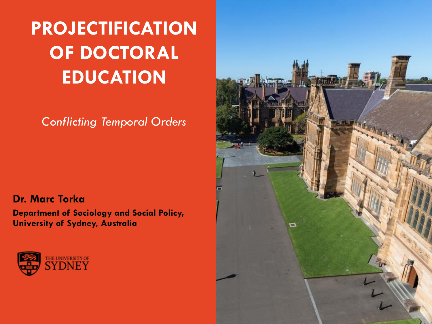**PROJECTIFICATION OF DOCTORAL EDUCATION**

*Conflicting Temporal Orders*

**Dr. Marc Torka**

**Department of Sociology and Social Policy, University of Sydney, Australia**



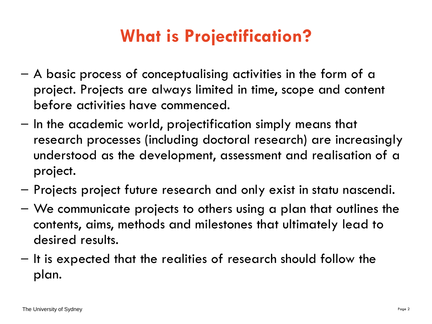# **What is Projectification?**

- A basic process of conceptualising activities in the form of a project. Projects are always limited in time, scope and content before activities have commenced.
- In the academic world, projectification simply means that research processes (including doctoral research) are increasingly understood as the development, assessment and realisation of a project.
- Projects project future research and only exist in statu nascendi.
- We communicate projects to others using a plan that outlines the contents, aims, methods and milestones that ultimately lead to desired results.
- It is expected that the realities of research should follow the plan.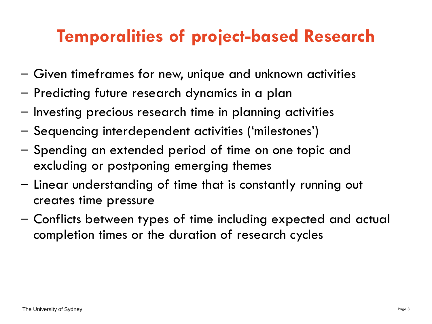# **Temporalities of project-based Research**

- Given timeframes for new, unique and unknown activities
- Predicting future research dynamics in a plan
- Investing precious research time in planning activities
- Sequencing interdependent activities ('milestones')
- Spending an extended period of time on one topic and excluding or postponing emerging themes
- Linear understanding of time that is constantly running out creates time pressure
- Conflicts between types of time including expected and actual completion times or the duration of research cycles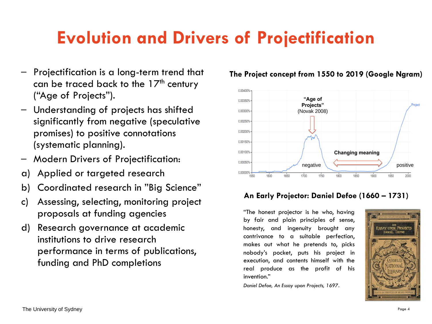# **Evolution and Drivers of Projectification**

- Projectification is a long-term trend that can be traced back to the  $17<sup>th</sup>$  century ("Age of Projects").
- Understanding of projects has shifted significantly from negative (speculative promises) to positive connotations (systematic planning).
- Modern Drivers of Projectification:
- a) Applied or targeted research
- b) Coordinated research in "Big Science"
- c) Assessing, selecting, monitoring project proposals at funding agencies
- d) Research governance at academic institutions to drive research performance in terms of publications, funding and PhD completions



### **The Project concept from 1550 to 2019 (Google Ngram)**

### **An Early Projector: Daniel Defoe (1660 – 1731)**

"The honest projector is he who, having by fair and plain principles of sense, honesty, and ingenuity brought any contrivance to <sup>a</sup> suitable perfection, makes out what he pretends to, picks nobody'<sup>s</sup> pocket, puts his project in execution, and contents himself with the real produce as the profit of his invention."

*Daniel Defoe, An Essay upon Projects, 1697.*

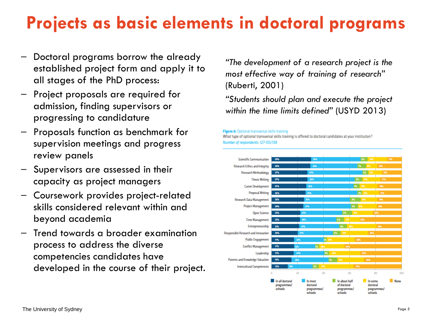# **Projects as basic elements in doctoral programs**

- Doctoral programs borrow the already established project form and apply it to all stages of the PhD process:
- Project proposals are required for admission, finding supervisors or progressing to candidature
- Proposals function as benchmark for supervision meetings and progress review panels
- Supervisors are assessed in their capacity as project managers
- Coursework provides project-related skills considered relevant within and beyond academia
- Trend towards a broader examination process to address the diverse competencies candidates have developed in the course of their project.

*"The development of a research project is the most effective way of training of research"*  (Ruberti, 2001)

*"Students should plan and execute the project within the time limits defined"* (USYD 2013)

#### Figure 6: Optional transversal skills training

What type of optional transversal skills training is offered to doctoral candidates at your institution? Number of respondents: 127-133/138

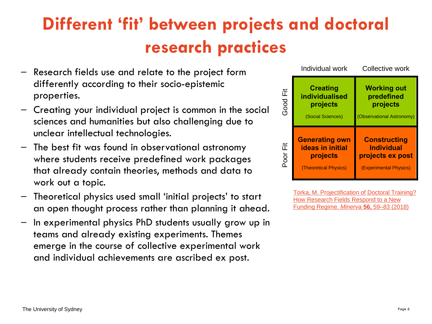# **Different 'fit' between projects and doctoral research practices**

- Research fields use and relate to the project form differently according to their socio-epistemic properties.
- Creating your individual project is common in the social sciences and humanities but also challenging due to unclear intellectual technologies.
- The best fit was found in observational astronomy where students receive predefined work packages that already contain theories, methods and data to work out a topic.
- Theoretical physics used small 'initial projects' to start an open thought process rather than planning it ahead.
- In experimental physics PhD students usually grow up in teams and already existing experiments. Themes emerge in the course of collective experimental work and individual achievements are ascribed ex post.

|          | Individual work                                                                       | Collective work                                                                        |
|----------|---------------------------------------------------------------------------------------|----------------------------------------------------------------------------------------|
| Good Fit | <b>Creating</b><br>individualised<br>projects<br>(Social Sciences)                    | <b>Working out</b><br>predefined<br>projects<br>(Observational Astronomy)              |
| Poor Fit | <b>Generating own</b><br><b>ideas in initial</b><br>projects<br>(Theoretical Physics) | <b>Constructing</b><br><b>Individual</b><br>projects ex post<br>(Experimental Physics) |

Torka, M. Projectification of Doctoral Training? [How Research Fields Respond to a New](https://link.springer.com/article/10.1007/s11024-018-9342-8#citeas)  Funding Regime. *Minerva* **56,** 59–83 (2018)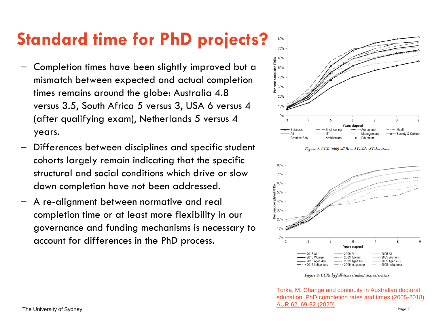# **Standard time for PhD projects?**

- Completion times have been slightly improved but a mismatch between expected and actual completion times remains around the globe: Australia 4.8 versus 3.5, South Africa 5 versus 3, USA 6 versus 4 (after qualifying exam), Netherlands 5 versus 4 years.
- Differences between disciplines and specific student cohorts largely remain indicating that the specific structural and social conditions which drive or slow down completion have not been addressed.
- A re-alignment between normative and real completion time or at least more flexibility in our governance and funding mechanisms is necessary to account for differences in the PhD process.



Figure 2: CCR 2009 all Broad Fields of Education



Figure 9: CCRs by full-time student characteristics

Torka, M. Change and continuity in Australian doctoral [education. PhD completion rates and times \(2005-2018\).](https://eric.ed.gov/?id=EJ1267338) AUR 62, 69-82 (2020)